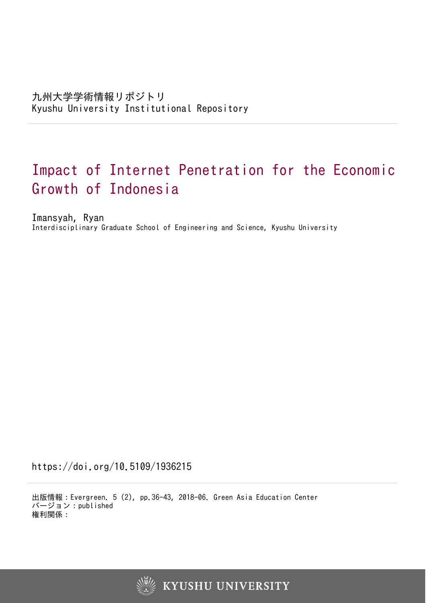# Impact of Internet Penetration for the Economic Growth of Indonesia

Imansyah, Ryan Interdisciplinary Graduate School of Engineering and Science, Kyushu University

https://doi.org/10.5109/1936215

出版情報:Evergreen. 5 (2), pp.36-43, 2018-06. Green Asia Education Center バージョン:published 権利関係:



**KYUSHU UNIVERSITY**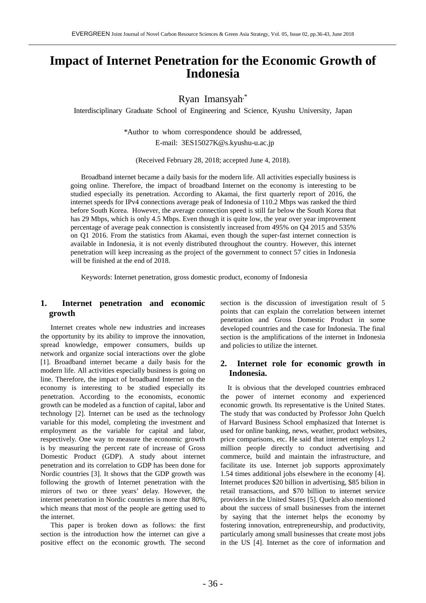# **Impact of Internet Penetration for the Economic Growth of Indonesia**

Ryan Imansyah,\*

Interdisciplinary Graduate School of Engineering and Science, Kyushu University, Japan

\*Author to whom correspondence should be addressed, E-mail: 3ES15027K@s.kyushu-u.ac.jp

(Received February 28, 2018; accepted June 4, 2018).

Broadband internet became a daily basis for the modern life. All activities especially business is going online. Therefore, the impact of broadband Internet on the economy is interesting to be studied especially its penetration. According to Akamai, the first quarterly report of 2016, the internet speeds for IPv4 connections average peak of Indonesia of 110.2 Mbps was ranked the third before South Korea. However, the average connection speed is still far below the South Korea that has 29 Mbps, which is only 4.5 Mbps. Even though it is quite low, the year over year improvement percentage of average peak connection is consistently increased from 495% on Q4 2015 and 535% on Q1 2016. From the statistics from Akamai, even though the super-fast internet connection is available in Indonesia, it is not evenly distributed throughout the country. However, this internet penetration will keep increasing as the project of the government to connect 57 cities in Indonesia will be finished at the end of 2018.

Keywords: Internet penetration, gross domestic product, economy of Indonesia

# **1. Internet penetration and economic growth**

Internet creates whole new industries and increases the opportunity by its ability to improve the innovation, spread knowledge, empower consumers, builds up network and organize social interactions over the globe [1]. Broadband internet became a daily basis for the modern life. All activities especially business is going on line. Therefore, the impact of broadband Internet on the economy is interesting to be studied especially its penetration. According to the economists, economic growth can be modeled as a function of capital, labor and technology [2]. Internet can be used as the technology variable for this model, completing the investment and employment as the variable for capital and labor, respectively. One way to measure the economic growth is by measuring the percent rate of increase of Gross Domestic Product (GDP). A study about internet penetration and its correlation to GDP has been done for Nordic countries [3]. It shows that the GDP growth was following the growth of Internet penetration with the mirrors of two or three years' delay. However, the internet penetration in Nordic countries is more that 80%, which means that most of the people are getting used to the internet.

This paper is broken down as follows: the first section is the introduction how the internet can give a positive effect on the economic growth. The second

section is the discussion of investigation result of 5 points that can explain the correlation between internet penetration and Gross Domestic Product in some developed countries and the case for Indonesia. The final section is the amplifications of the internet in Indonesia and policies to utilize the internet.

# **2. Internet role for economic growth in Indonesia.**

It is obvious that the developed countries embraced the power of internet economy and experienced economic growth. Its representative is the United States. The study that was conducted by Professor John Quelch of Harvard Business School emphasized that Internet is used for online banking, news, weather, product websites, price comparisons, etc. He said that internet employs 1.2 million people directly to conduct advertising and commerce, build and maintain the infrastructure, and facilitate its use. Internet job supports approximately 1.54 times additional jobs elsewhere in the economy [4]. Internet produces \$20 billion in advertising, \$85 bilion in retail transactions, and \$70 billion to internet service providers in the United States [5]. Quelch also mentioned about the success of small businesses from the internet by saying that the internet helps the economy by fostering innovation, entrepreneurship, and productivity, particularly among small businesses that create most jobs in the US [4]. Internet as the core of information and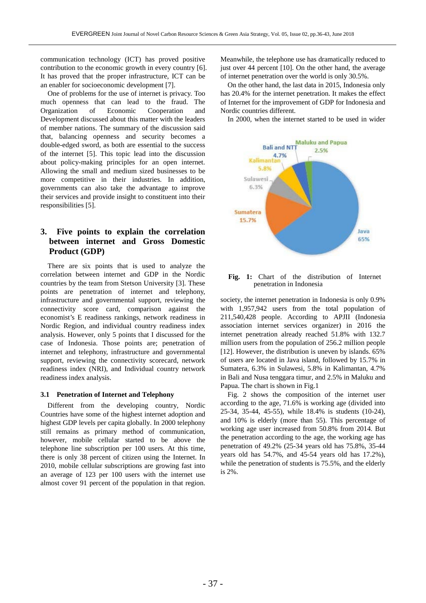communication technology (ICT) has proved positive contribution to the economic growth in every country [6]. It has proved that the proper infrastructure, ICT can be an enabler for socioeconomic development [7].

One of problems for the use of internet is privacy. Too much openness that can lead to the fraud. The Organization of Economic Cooperation and Development discussed about this matter with the leaders of member nations. The summary of the discussion said that, balancing openness and security becomes a double-edged sword, as both are essential to the success of the internet [5]. This topic lead into the discussion about policy-making principles for an open internet. Allowing the small and medium sized businesses to be more competitive in their industries. In addition, governments can also take the advantage to improve their services and provide insight to constituent into their responsibilities [5].

# **3. Five points to explain the correlation between internet and Gross Domestic Product (GDP)**

There are six points that is used to analyze the correlation between internet and GDP in the Nordic countries by the team from Stetson University [3]. These points are penetration of internet and telephony, infrastructure and governmental support, reviewing the connectivity score card, comparison against the economist's E readiness rankings, network readiness in Nordic Region, and individual country readiness index analysis. However, only 5 points that I discussed for the case of Indonesia. Those points are; penetration of internet and telephony, infrastructure and governmental support, reviewing the connectivity scorecard, network readiness index (NRI), and Individual country network readiness index analysis.

#### **3.1 Penetration of Internet and Telephony**

Different from the developing country, Nordic Countries have some of the highest internet adoption and highest GDP levels per capita globally. In 2000 telephony still remains as primary method of communication, however, mobile cellular started to be above the telephone line subscription per 100 users. At this time, there is only 38 percent of citizen using the Internet. In 2010, mobile cellular subscriptions are growing fast into an average of 123 per 100 users with the internet use almost cover 91 percent of the population in that region. Meanwhile, the telephone use has dramatically reduced to just over 44 percent [10]. On the other hand, the average of internet penetration over the world is only 30.5%.

On the other hand, the last data in 2015, Indonesia only has 20.4% for the internet penetration. It makes the effect of Internet for the improvement of GDP for Indonesia and Nordic countries different.

In 2000, when the internet started to be used in wider



**Fig. 1:** Chart of the distribution of Internet penetration in Indonesia

society, the internet penetration in Indonesia is only 0.9% with 1,957,942 users from the total population of 211,540,428 people. According to APJII (Indonesia association internet services organizer) in 2016 the internet penetration already reached 51.8% with 132.7 million users from the population of 256.2 million people [12]. However, the distribution is uneven by islands. 65% of users are located in Java island, followed by 15.7% in Sumatera, 6.3% in Sulawesi, 5.8% in Kalimantan, 4.7% in Bali and Nusa tenggara timur, and 2.5% in Maluku and Papua. The chart is shown in Fig.1

Fig. 2 shows the composition of the internet user according to the age, 71.6% is working age (divided into 25-34, 35-44, 45-55), while 18.4% is students (10-24), and 10% is elderly (more than 55). This percentage of working age user increased from 50.8% from 2014. But the penetration according to the age, the working age has penetration of 49.2% (25-34 years old has 75.8%, 35-44 years old has 54.7%, and 45-54 years old has 17.2%), while the penetration of students is 75.5%, and the elderly is 2%.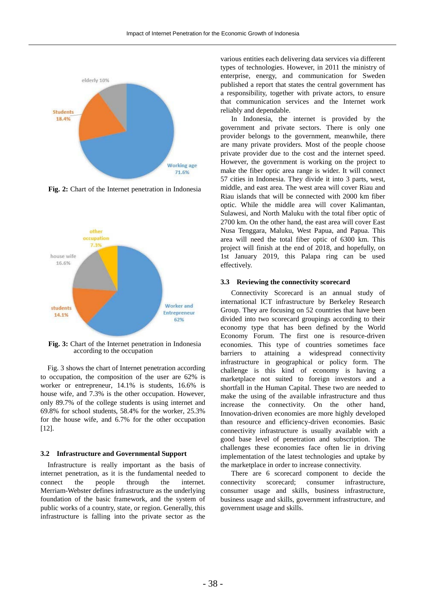

**Fig. 2:** Chart of the Internet penetration in Indonesia



**Fig. 3:** Chart of the Internet penetration in Indonesia according to the occupation

Fig. 3 shows the chart of Internet penetration according to occupation, the composition of the user are 62% is worker or entrepreneur, 14.1% is students, 16.6% is house wife, and 7.3% is the other occupation. However, only 89.7% of the college students is using internet and 69.8% for school students, 58.4% for the worker, 25.3% for the house wife, and 6.7% for the other occupation [12].

#### **3.2 Infrastructure and Governmental Support**

Infrastructure is really important as the basis of internet penetration, as it is the fundamental needed to connect the people through the internet. Merriam-Webster defines infrastructure as the underlying foundation of the basic framework, and the system of public works of a country, state, or region. Generally, this infrastructure is falling into the private sector as the

various entities each delivering data services via different types of technologies. However, in 2011 the ministry of enterprise, energy, and communication for Sweden published a report that states the central government has a responsibility, together with private actors, to ensure that communication services and the Internet work reliably and dependable.

In Indonesia, the internet is provided by the government and private sectors. There is only one provider belongs to the government, meanwhile, there are many private providers. Most of the people choose private provider due to the cost and the internet speed. However, the government is working on the project to make the fiber optic area range is wider. It will connect 57 cities in Indonesia. They divide it into 3 parts, west, middle, and east area. The west area will cover Riau and Riau islands that will be connected with 2000 km fiber optic. While the middle area will cover Kalimantan, Sulawesi, and North Maluku with the total fiber optic of 2700 km. On the other hand, the east area will cover East Nusa Tenggara, Maluku, West Papua, and Papua. This area will need the total fiber optic of 6300 km. This project will finish at the end of 2018, and hopefully, on 1st January 2019, this Palapa ring can be used effectively.

#### **3.3 Reviewing the connectivity scorecard**

Connectivity Scorecard is an annual study of international ICT infrastructure by Berkeley Research Group. They are focusing on 52 countries that have been divided into two scorecard groupings according to their economy type that has been defined by the World Economy Forum. The first one is resource-driven economies. This type of countries sometimes face barriers to attaining a widespread connectivity infrastructure in geographical or policy form. The challenge is this kind of economy is having a marketplace not suited to foreign investors and a shortfall in the Human Capital. These two are needed to make the using of the available infrastructure and thus increase the connectivity. On the other hand, Innovation-driven economies are more highly developed than resource and efficiency-driven economies. Basic connectivity infrastructure is usually available with a good base level of penetration and subscription. The challenges these economies face often lie in driving implementation of the latest technologies and uptake by the marketplace in order to increase connectivity.

There are 6 scorecard component to decide the connectivity scorecard; consumer infrastructure, consumer usage and skills, business infrastructure, business usage and skills, government infrastructure, and government usage and skills.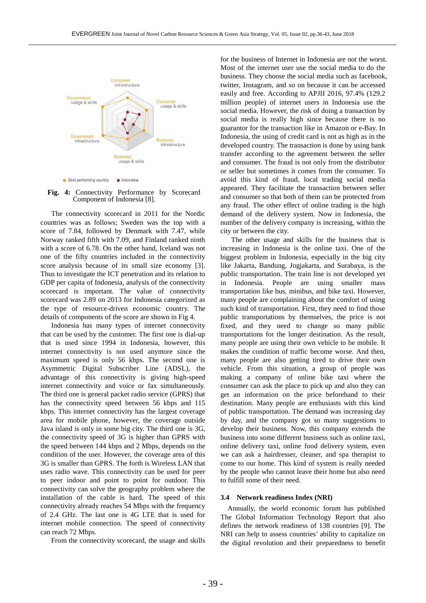

**Fig. 4:** Connectivity Performance by Scorecard Component of Indonesia [8].

The connectivity scorecard in 2011 for the Nordic countries was as follows; Sweden was the top with a score of 7.84, followed by Denmark with 7.47, while Norway ranked fifth with 7.09, and Finland ranked ninth with a score of 6.78. On the other hand, Iceland was not one of the fifty countries included in the connectivity score analysis because of its small size economy [3]. Thus to investigate the ICT penetration and its relation to GDP per capita of Indonesia, analysis of the connectivity scorecard is important. The value of connectivity scorecard was 2.89 on 2013 for Indonesia categorized as the type of resource-driven economic country. The details of components of the score are shown in Fig 4.

Indonesia has many types of internet connectivity that can be used by the customer. The first one is dial-up that is used since 1994 in Indonesia, however, this internet connectivity is not used anymore since the maximum speed is only 56 kbps. The second one is Asymmetric Digital Subscriber Line (ADSL), the advantage of this connectivity is giving high-speed internet connectivity and voice or fax simultaneously. The third one is general packet radio service (GPRS) that has the connectivity speed between 56 kbps and 115 kbps. This internet connectivity has the largest coverage area for mobile phone, however, the coverage outside Java island is only in some big city. The third one is 3G, the connectivity speed of 3G is higher than GPRS with the speed between 144 kbps and 2 Mbps, depends on the condition of the user. However, the coverage area of this 3G is smaller than GPRS. The forth is Wireless LAN that uses radio wave. This connectivity can be used for peer to peer indoor and point to point for outdoor. This connectivity can solve the geography problem where the installation of the cable is hard. The speed of this connectivity already reaches 54 Mbps with the frequency of 2.4 GHz. The last one is 4G LTE that is used for internet mobile connection. The speed of connectivity can reach 72 Mbps.

From the connectivity scorecard, the usage and skills

for the business of Internet in Indonesia are not the worst. Most of the internet user use the social media to do the business. They choose the social media such as facebook, twitter, Instagram, and so on because it can be accessed easily and free. According to APJII 2016, 97.4% (129.2 million people) of internet users in Indonesia use the social media. However, the risk of doing a transaction by social media is really high since because there is no guarantor for the transaction like in Amazon or e-Bay. In Indonesia, the using of credit card is not as high as in the developed country. The transaction is done by using bank transfer according to the agreement between the seller and consumer. The fraud is not only from the distributor or seller but sometimes it comes from the consumer. To avoid this kind of fraud, local trading social media appeared. They facilitate the transaction between seller and consumer so that both of them can be protected from any fraud. The other effect of online trading is the high demand of the delivery system. Now in Indonesia, the number of the delivery company is increasing, within the city or between the city.

The other usage and skills for the business that is increasing in Indonesia is the online taxi. One of the biggest problem in Indonesia, especially in the big city like Jakarta, Bandung, Jogjakarta, and Surabaya, is the public transportation. The train line is not developed yet in Indonesia. People are using smaller mass transportation like bus, minibus, and bike taxi. However, many people are complaining about the comfort of using such kind of transportation. First, they need to find those public transportations by themselves, the price is not fixed, and they need to change so many public transportations for the longer destination. As the result, many people are using their own vehicle to be mobile. It makes the condition of traffic become worse. And then, many people are also getting tired to drive their own vehicle. From this situation, a group of people was making a company of online bike taxi where the consumer can ask the place to pick up and also they can get an information on the price beforehand to their destination. Many people are enthusiasts with this kind of public transportation. The demand was increasing day by day, and the company got so many suggestions to develop their business. Now, this company extends the business into some different business such as online taxi, online delivery taxi, online food delivery system, even we can ask a hairdresser, cleaner, and spa therapist to come to our home. This kind of system is really needed by the people who cannot leave their home but also need to fulfill some of their need.

#### **3.4 Network readiness Index (NRI)**

Annually, the world economic forum has published The Global Information Technology Report that also defines the network readiness of 138 countries [9]. The NRI can help to assess countries' ability to capitalize on the digital revolution and their preparedness to benefit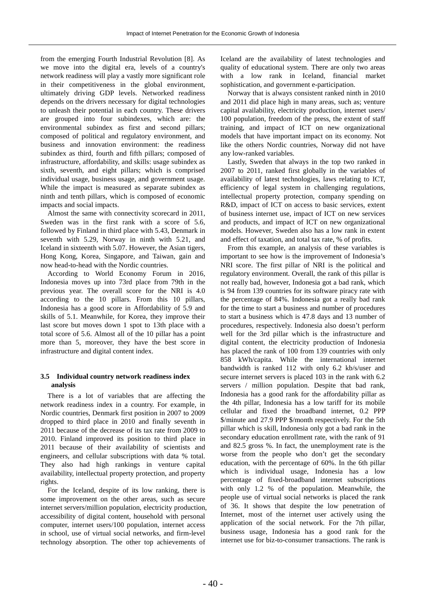from the emerging Fourth Industrial Revolution [8]. As we move into the digital era, levels of a country's network readiness will play a vastly more significant role in their competitiveness in the global environment, ultimately driving GDP levels. Networked readiness depends on the drivers necessary for digital technologies to unleash their potential in each country. These drivers are grouped into four subindexes, which are: the environmental subindex as first and second pillars; composed of political and regulatory environment, and business and innovation environment: the readiness subindex as third, fourth and fifth pillars; composed of infrastructure, affordability, and skills: usage subindex as sixth, seventh, and eight pillars; which is comprised individual usage, business usage, and government usage. While the impact is measured as separate subindex as ninth and tenth pillars, which is composed of economic impacts and social impacts.

Almost the same with connectivity scorecard in 2011, Sweden was in the first rank with a score of 5.6, followed by Finland in third place with 5.43, Denmark in seventh with 5.29, Norway in ninth with 5.21, and Iceland in sixteenth with 5.07. However, the Asian tigers, Hong Kong, Korea, Singapore, and Taiwan, gain and now head-to-head with the Nordic countries.

According to World Economy Forum in 2016, Indonesia moves up into 73rd place from 79th in the previous year. The overall score for the NRI is 4.0 according to the 10 pillars. From this 10 pillars, Indonesia has a good score in Affordability of 5.9 and skills of 5.1. Meanwhile, for Korea, they improve their last score but moves down 1 spot to 13th place with a total score of 5.6. Almost all of the 10 pillar has a point more than 5, moreover, they have the best score in infrastructure and digital content index.

### **3.5 Individual country network readiness index analysis**

There is a lot of variables that are affecting the network readiness index in a country. For example, in Nordic countries, Denmark first position in 2007 to 2009 dropped to third place in 2010 and finally seventh in 2011 because of the decrease of its tax rate from 2009 to 2010. Finland improved its position to third place in 2011 because of their availability of scientists and engineers, and cellular subscriptions with data % total. They also had high rankings in venture capital availability, intellectual property protection, and property rights.

For the Iceland, despite of its low ranking, there is some improvement on the other areas, such as secure internet servers/million population, electricity production, accessibility of digital content, household with personal computer, internet users/100 population, internet access in school, use of virtual social networks, and firm-level technology absorption. The other top achievements of

Iceland are the availability of latest technologies and quality of educational system. There are only two areas with a low rank in Iceland, financial market sophistication, and government e-participation.

Norway that is always consistent ranked ninth in 2010 and 2011 did place high in many areas, such as; venture capital availability, electricity production, internet users/ 100 population, freedom of the press, the extent of staff training, and impact of ICT on new organizational models that have important impact on its economy. Not like the others Nordic countries, Norway did not have any low-ranked variables.

Lastly, Sweden that always in the top two ranked in 2007 to 2011, ranked first globally in the variables of availability of latest technologies, laws relating to ICT, efficiency of legal system in challenging regulations, intellectual property protection, company spending on R&D, impact of ICT on access to basic services, extent of business internet use, impact of ICT on new services and products, and impact of ICT on new organizational models. However, Sweden also has a low rank in extent and effect of taxation, and total tax rate, % of profits.

From this example, an analysis of these variables is important to see how is the improvement of Indonesia's NRI score. The first pillar of NRI is the political and regulatory environment. Overall, the rank of this pillar is not really bad, however, Indonesia got a bad rank, which is 94 from 139 countries for its software piracy rate with the percentage of 84%. Indonesia got a really bad rank for the time to start a business and number of procedures to start a business which is 47.8 days and 13 number of procedures, respectively. Indonesia also doesn't perform well for the 3rd pillar which is the infrastructure and digital content, the electricity production of Indonesia has placed the rank of 100 from 139 countries with only 858 kWh/capita. While the international internet bandwidth is ranked 112 with only 6.2 kb/s/user and secure internet servers is placed 103 in the rank with 6.2 servers / million population. Despite that bad rank, Indonesia has a good rank for the affordability pillar as the 4th pillar, Indonesia has a low tariff for its mobile cellular and fixed the broadband internet, 0.2 PPP \$/minute and 27.9 PPP \$/month respectively. For the 5th pillar which is skill, Indonesia only got a bad rank in the secondary education enrollment rate, with the rank of 91 and 82.5 gross %. In fact, the unemployment rate is the worse from the people who don't get the secondary education, with the percentage of 60%. In the 6th pillar which is individual usage, Indonesia has a low percentage of fixed-broadband internet subscriptions with only 1.2 % of the population. Meanwhile, the people use of virtual social networks is placed the rank of 36. It shows that despite the low penetration of Internet, most of the internet user actively using the application of the social network. For the 7th pillar, business usage, Indonesia has a good rank for the internet use for biz-to-consumer transactions. The rank is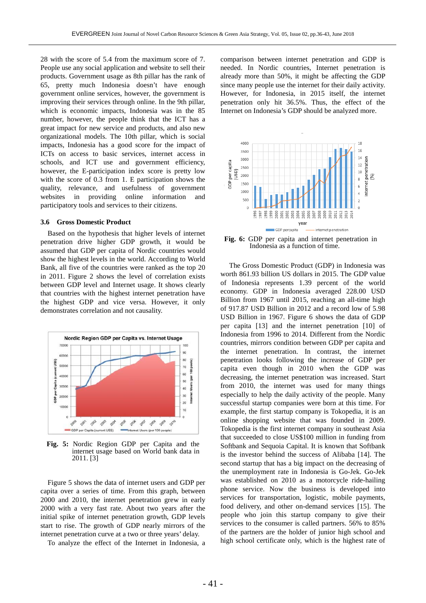28 with the score of 5.4 from the maximum score of 7. People use any social application and website to sell their products. Government usage as 8th pillar has the rank of 65, pretty much Indonesia doesn't have enough government online services, however, the government is improving their services through online. In the 9th pillar, which is economic impacts, Indonesia was in the 85 number, however, the people think that the ICT has a great impact for new service and products, and also new organizational models. The 10th pillar, which is social impacts, Indonesia has a good score for the impact of ICTs on access to basic services, internet access in schools, and ICT use and government efficiency, however, the E-participation index score is pretty low with the score of 0.3 from 1. E participation shows the quality, relevance, and usefulness of government websites in providing online information and participatory tools and services to their citizens.

#### **3.6 Gross Domestic Product**

Based on the hypothesis that higher levels of internet penetration drive higher GDP growth, it would be assumed that GDP per capita of Nordic countries would show the highest levels in the world. According to World Bank, all five of the countries were ranked as the top 20 in 2011. Figure 2 shows the level of correlation exists between GDP level and Internet usage. It shows clearly that countries with the highest internet penetration have the highest GDP and vice versa. However, it only demonstrates correlation and not causality.



**Fig. 5:** Nordic Region GDP per Capita and the internet usage based on World bank data in 2011. [3]

Figure 5 shows the data of internet users and GDP per capita over a series of time. From this graph, between 2000 and 2010, the internet penetration grew in early 2000 with a very fast rate. About two years after the initial spike of internet penetration growth, GDP levels start to rise. The growth of GDP nearly mirrors of the internet penetration curve at a two or three years' delay.

To analyze the effect of the Internet in Indonesia, a

comparison between internet penetration and GDP is needed. In Nordic countries, Internet penetration is already more than 50%, it might be affecting the GDP since many people use the internet for their daily activity. However, for Indonesia, in 2015 itself, the internet penetration only hit 36.5%. Thus, the effect of the Internet on Indonesia's GDP should be analyzed more.



**Fig. 6:** GDP per capita and internet penetration in Indonesia as a function of time.

The Gross Domestic Product (GDP) in Indonesia was worth 861.93 billion US dollars in 2015. The GDP value of Indonesia represents 1.39 percent of the world economy. GDP in Indonesia averaged 228.00 USD Billion from 1967 until 2015, reaching an all-time high of 917.87 USD Billion in 2012 and a record low of 5.98 USD Billion in 1967. Figure 6 shows the data of GDP per capita [13] and the internet penetration [10] of Indonesia from 1996 to 2014. Different from the Nordic countries, mirrors condition between GDP per capita and the internet penetration. In contrast, the internet penetration looks following the increase of GDP per capita even though in 2010 when the GDP was decreasing, the internet penetration was increased. Start from 2010, the internet was used for many things especially to help the daily activity of the people. Many successful startup companies were born at this time. For example, the first startup company is Tokopedia, it is an online shopping website that was founded in 2009. Tokopedia is the first internet company in southeast Asia that succeeded to close US\$100 million in funding from Softbank and Sequoia Capital. It is known that Softbank is the investor behind the success of Alibaba [14]. The second startup that has a big impact on the decreasing of the unemployment rate in Indonesia is Go-Jek. Go-Jek was established on 2010 as a motorcycle ride-hailing phone service. Now the business is developed into services for transportation, logistic, mobile payments, food delivery, and other on-demand services [15]. The people who join this startup company to give their services to the consumer is called partners. 56% to 85% of the partners are the holder of junior high school and high school certificate only, which is the highest rate of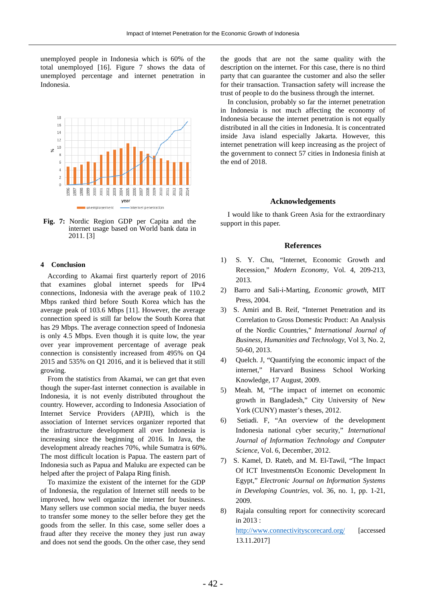unemployed people in Indonesia which is 60% of the total unemployed [16]. Figure 7 shows the data of unemployed percentage and internet penetration in Indonesia.



**Fig. 7:** Nordic Region GDP per Capita and the internet usage based on World bank data in 2011. [3]

#### **4 Conclusion**

According to Akamai first quarterly report of 2016 that examines global internet speeds for IPv4 connections, Indonesia with the average peak of 110.2 Mbps ranked third before South Korea which has the average peak of 103.6 Mbps [11]. However, the average connection speed is still far below the South Korea that has 29 Mbps. The average connection speed of Indonesia is only 4.5 Mbps. Even though it is quite low, the year over year improvement percentage of average peak connection is consistently increased from 495% on Q4 2015 and 535% on Q1 2016, and it is believed that it still growing.

From the statistics from Akamai, we can get that even though the super-fast internet connection is available in Indonesia, it is not evenly distributed throughout the country. However, according to Indonesia Association of Internet Service Providers (APJII), which is the association of Internet services organizer reported that the infrastructure development all over Indonesia is increasing since the beginning of 2016. In Java, the development already reaches 70%, while Sumatra is 60%. The most difficult location is Papua. The eastern part of Indonesia such as Papua and Maluku are expected can be helped after the project of Palapa Ring finish.

To maximize the existent of the internet for the GDP of Indonesia, the regulation of Internet still needs to be improved, how well organize the internet for business. Many sellers use common social media, the buyer needs to transfer some money to the seller before they get the goods from the seller. In this case, some seller does a fraud after they receive the money they just run away and does not send the goods. On the other case, they send the goods that are not the same quality with the description on the internet. For this case, there is no third party that can guarantee the customer and also the seller for their transaction. Transaction safety will increase the trust of people to do the business through the internet.

In conclusion, probably so far the internet penetration in Indonesia is not much affecting the economy of Indonesia because the internet penetration is not equally distributed in all the cities in Indonesia. It is concentrated inside Java island especially Jakarta. However, this internet penetration will keep increasing as the project of the government to connect 57 cities in Indonesia finish at the end of 2018.

#### **Acknowledgements**

I would like to thank Green Asia for the extraordinary support in this paper.

#### **References**

- 1) S. Y. Chu, "Internet, Economic Growth and Recession," *Modern Economy*, Vol. 4, 209-213, 2013.
- 2) Barro and Sali-i-Marting, *Economic growth*, MIT Press, 2004.
- 3) S. Amiri and B. Reif, "Internet Penetration and its Correlation to Gross Domestic Product: An Analysis of the Nordic Countries," *International Journal of Business, Humanities and Technology*, Vol 3, No. 2, 50-60, 2013.
- 4) Quelch. J, "Quantifying the economic impact of the internet," Harvard Business School Working Knowledge, 17 August, 2009.
- 5) Meah. M, "The impact of internet on economic growth in Bangladesh," City University of New York (CUNY) master's theses, 2012.
- 6) Setiadi. F, "An overview of the development Indonesia national cyber security," *International Journal of Information Technology and Computer Science*, Vol. 6, December, 2012.
- 7) S. Kamel, D. Rateb, and M. El-Tawil, "The Impact Of ICT InvestmentsOn Economic Development In Egypt," *Electronic Journal on Information Systems in Developing Countries*, vol. 36, no. 1, pp. 1-21, 2009.
- 8) Rajala consulting report for connectivity scorecard in 2013 :

<http://www.connectivityscorecard.org/> [accessed] 13.11.2017]